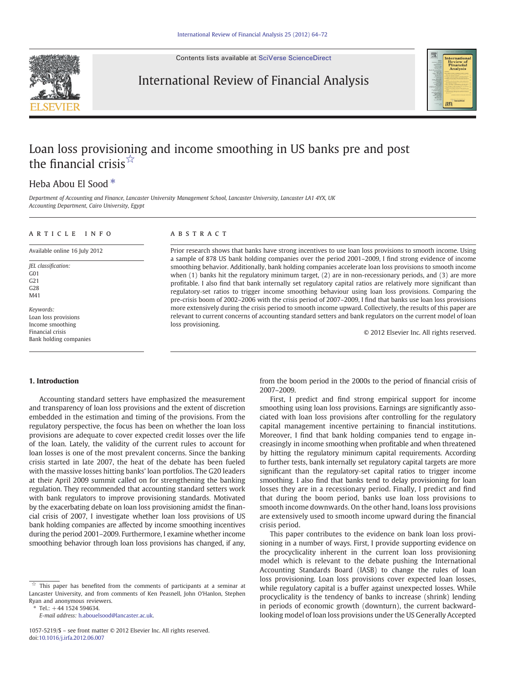Contents lists available at [SciVerse ScienceDirect](http://www.sciencedirect.com/science/journal/10575219)



International Review of Financial Analysis



# Loan loss provisioning and income smoothing in US banks pre and post the financial crisis $\sqrt[5]{x}$

## Heba Abou El Sood<sup>\*</sup>

Department of Accounting and Finance, Lancaster University Management School, Lancaster University, Lancaster LA1 4YX, UK Accounting Department, Cairo University, Egypt

#### article info abstract

Available online 16 July 2012

JEL classification: G01 G21  $C<sub>28</sub>$ M41

Keywords: Loan loss provisions Income smoothing Financial crisis Bank holding companies

Prior research shows that banks have strong incentives to use loan loss provisions to smooth income. Using a sample of 878 US bank holding companies over the period 2001–2009, I find strong evidence of income smoothing behavior. Additionally, bank holding companies accelerate loan loss provisions to smooth income when (1) banks hit the regulatory minimum target, (2) are in non-recessionary periods, and (3) are more profitable. I also find that bank internally set regulatory capital ratios are relatively more significant than regulatory‐set ratios to trigger income smoothing behaviour using loan loss provisions. Comparing the pre-crisis boom of 2002–2006 with the crisis period of 2007–2009, I find that banks use loan loss provisions more extensively during the crisis period to smooth income upward. Collectively, the results of this paper are relevant to current concerns of accounting standard setters and bank regulators on the current model of loan loss provisioning.

© 2012 Elsevier Inc. All rights reserved.

#### 1. Introduction

Accounting standard setters have emphasized the measurement and transparency of loan loss provisions and the extent of discretion embedded in the estimation and timing of the provisions. From the regulatory perspective, the focus has been on whether the loan loss provisions are adequate to cover expected credit losses over the life of the loan. Lately, the validity of the current rules to account for loan losses is one of the most prevalent concerns. Since the banking crisis started in late 2007, the heat of the debate has been fueled with the massive losses hitting banks' loan portfolios. The G20 leaders at their April 2009 summit called on for strengthening the banking regulation. They recommended that accounting standard setters work with bank regulators to improve provisioning standards. Motivated by the exacerbating debate on loan loss provisioning amidst the financial crisis of 2007, I investigate whether loan loss provisions of US bank holding companies are affected by income smoothing incentives during the period 2001–2009. Furthermore, I examine whether income smoothing behavior through loan loss provisions has changed, if any,

 $*$  Tel.:  $+44$  1524 594634.

from the boom period in the 2000s to the period of financial crisis of 2007–2009.

First, I predict and find strong empirical support for income smoothing using loan loss provisions. Earnings are significantly associated with loan loss provisions after controlling for the regulatory capital management incentive pertaining to financial institutions. Moreover, I find that bank holding companies tend to engage increasingly in income smoothing when profitable and when threatened by hitting the regulatory minimum capital requirements. According to further tests, bank internally set regulatory capital targets are more significant than the regulatory‐set capital ratios to trigger income smoothing. I also find that banks tend to delay provisioning for loan losses they are in a recessionary period. Finally, I predict and find that during the boom period, banks use loan loss provisions to smooth income downwards. On the other hand, loans loss provisions are extensively used to smooth income upward during the financial crisis period.

This paper contributes to the evidence on bank loan loss provisioning in a number of ways. First, I provide supporting evidence on the procyclicality inherent in the current loan loss provisioning model which is relevant to the debate pushing the International Accounting Standards Board (IASB) to change the rules of loan loss provisioning. Loan loss provisions cover expected loan losses, while regulatory capital is a buffer against unexpected losses. While procyclicality is the tendency of banks to increase (shrink) lending in periods of economic growth (downturn), the current backwardlooking model of loan loss provisions under the US Generally Accepted

 $\overrightarrow{a}$  This paper has benefited from the comments of participants at a seminar at Lancaster University, and from comments of Ken Peasnell, John O'Hanlon, Stephen Ryan and anonymous reviewers.

E-mail address: [h.abouelsood@lancaster.ac.uk](mailto:h.abouelsood@lancaster.ac.uk).

<sup>1057-5219/\$</sup> – see front matter © 2012 Elsevier Inc. All rights reserved. doi[:10.1016/j.irfa.2012.06.007](http://dx.doi.org/10.1016/j.irfa.2012.06.007)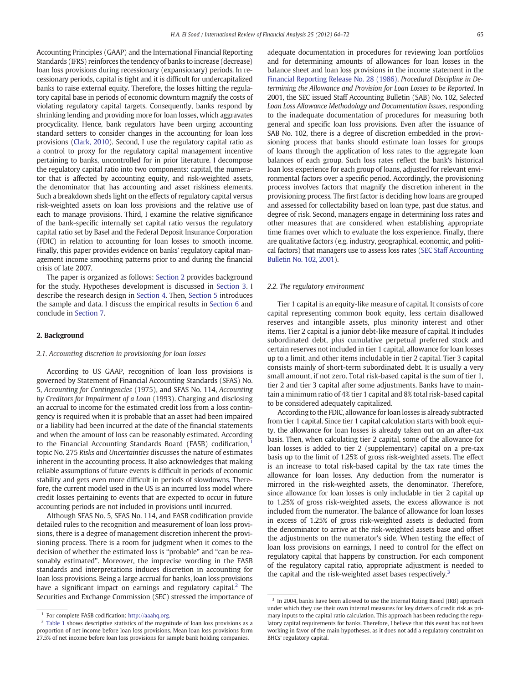Accounting Principles (GAAP) and the International Financial Reporting Standards (IFRS) reinforces the tendency of banks to increase (decrease) loan loss provisions during recessionary (expansionary) periods. In recessionary periods, capital is tight and it is difficult for undercapitalized banks to raise external equity. Therefore, the losses hitting the regulatory capital base in periods of economic downturn magnify the costs of violating regulatory capital targets. Consequently, banks respond by shrinking lending and providing more for loan losses, which aggravates procyclicality. Hence, bank regulators have been urging accounting standard setters to consider changes in the accounting for loan loss provisions ([Clark, 2010](#page-8-0)). Second, I use the regulatory capital ratio as a control to proxy for the regulatory capital management incentive pertaining to banks, uncontrolled for in prior literature. I decompose the regulatory capital ratio into two components: capital, the numerator that is affected by accounting equity, and risk-weighted assets, the denominator that has accounting and asset riskiness elements. Such a breakdown sheds light on the effects of regulatory capital versus risk-weighted assets on loan loss provisions and the relative use of each to manage provisions. Third, I examine the relative significance of the bank-specific internally set capital ratio versus the regulatory capital ratio set by Basel and the Federal Deposit Insurance Corporation (FDIC) in relation to accounting for loan losses to smooth income. Finally, this paper provides evidence on banks' regulatory capital management income smoothing patterns prior to and during the financial crisis of late 2007.

The paper is organized as follows: Section 2 provides background for the study. Hypotheses development is discussed in [Section 3.](#page-2-0) I describe the research design in [Section 4](#page-2-0). Then, [Section 5](#page-4-0) introduces the sample and data. I discuss the empirical results in [Section 6](#page-4-0) and conclude in [Section 7](#page-7-0).

#### 2. Background

#### 2.1. Accounting discretion in provisioning for loan losses

According to US GAAP, recognition of loan loss provisions is governed by Statement of Financial Accounting Standards (SFAS) No. 5, Accounting for Contingencies (1975), and SFAS No. 114, Accounting by Creditors for Impairment of a Loan (1993). Charging and disclosing an accrual to income for the estimated credit loss from a loss contingency is required when it is probable that an asset had been impaired or a liability had been incurred at the date of the financial statements and when the amount of loss can be reasonably estimated. According to the Financial Accounting Standards Board (FASB) codification,<sup>1</sup> topic No. 275 Risks and Uncertainties discusses the nature of estimates inherent in the accounting process. It also acknowledges that making reliable assumptions of future events is difficult in periods of economic stability and gets even more difficult in periods of slowdowns. Therefore, the current model used in the US is an incurred loss model where credit losses pertaining to events that are expected to occur in future accounting periods are not included in provisions until incurred.

Although SFAS No. 5, SFAS No. 114, and FASB codification provide detailed rules to the recognition and measurement of loan loss provisions, there is a degree of management discretion inherent the provisioning process. There is a room for judgment when it comes to the decision of whether the estimated loss is "probable" and "can be reasonably estimated". Moreover, the imprecise wording in the FASB standards and interpretations induces discretion in accounting for loan loss provisions. Being a large accrual for banks, loan loss provisions have a significant impact on earnings and regulatory capital. $<sup>2</sup>$  The</sup> Securities and Exchange Commission (SEC) stressed the importance of adequate documentation in procedures for reviewing loan portfolios and for determining amounts of allowances for loan losses in the balance sheet and loan loss provisions in the income statement in the [Financial Reporting Release No. 28 \(1986\)](#page-8-0). Procedural Discipline in Determining the Allowance and Provision for Loan Losses to be Reported. In 2001, the SEC issued Staff Accounting Bulletin (SAB) No. 102, Selected Loan Loss Allowance Methodology and Documentation Issues, responding to the inadequate documentation of procedures for measuring both general and specific loan loss provisions. Even after the issuance of SAB No. 102, there is a degree of discretion embedded in the provisioning process that banks should estimate loan losses for groups of loans through the application of loss rates to the aggregate loan balances of each group. Such loss rates reflect the bank's historical loan loss experience for each group of loans, adjusted for relevant environmental factors over a specific period. Accordingly, the provisioning process involves factors that magnify the discretion inherent in the provisioning process. The first factor is deciding how loans are grouped and assessed for collectability based on loan type, past due status, and degree of risk. Second, managers engage in determining loss rates and other measures that are considered when establishing appropriate time frames over which to evaluate the loss experience. Finally, there are qualitative factors (e.g. industry, geographical, economic, and political factors) that managers use to assess loss rates [\(SEC Staff Accounting](#page-8-0) [Bulletin No. 102, 2001](#page-8-0)).

#### 2.2. The regulatory environment

Tier 1 capital is an equity-like measure of capital. It consists of core capital representing common book equity, less certain disallowed reserves and intangible assets, plus minority interest and other items. Tier 2 capital is a junior debt-like measure of capital. It includes subordinated debt, plus cumulative perpetual preferred stock and certain reserves not included in tier 1 capital, allowance for loan losses up to a limit, and other items includable in tier 2 capital. Tier 3 capital consists mainly of short-term subordinated debt. It is usually a very small amount, if not zero. Total risk-based capital is the sum of tier 1, tier 2 and tier 3 capital after some adjustments. Banks have to maintain a minimum ratio of 4% tier 1 capital and 8% total risk-based capital to be considered adequately capitalized.

According to the FDIC, allowance for loan losses is already subtracted from tier 1 capital. Since tier 1 capital calculation starts with book equity, the allowance for loan losses is already taken out on an after-tax basis. Then, when calculating tier 2 capital, some of the allowance for loan losses is added to tier 2 (supplementary) capital on a pre-tax basis up to the limit of 1.25% of gross risk-weighted assets. The effect is an increase to total risk-based capital by the tax rate times the allowance for loan losses. Any deduction from the numerator is mirrored in the risk-weighted assets, the denominator. Therefore, since allowance for loan losses is only includable in tier 2 capital up to 1.25% of gross risk-weighted assets, the excess allowance is not included from the numerator. The balance of allowance for loan losses in excess of 1.25% of gross risk-weighted assets is deducted from the denominator to arrive at the risk-weighted assets base and offset the adjustments on the numerator's side. When testing the effect of loan loss provisions on earnings, I need to control for the effect on regulatory capital that happens by construction. For each component of the regulatory capital ratio, appropriate adjustment is needed to the capital and the risk-weighted asset bases respectively.<sup>3</sup>

 $^{\rm 1}$  For complete FASB codification: [http://aaahq.org.](http://aaahq.org)

<sup>&</sup>lt;sup>2</sup> [Table 1](#page-4-0) shows descriptive statistics of the magnitude of loan loss provisions as a proportion of net income before loan loss provisions. Mean loan loss provisions form 27.5% of net income before loan loss provisions for sample bank holding companies.

 $3$  In 2004, banks have been allowed to use the Internal Rating Based (IRB) approach under which they use their own internal measures for key drivers of credit risk as primary inputs to the capital ratio calculation. This approach has been reducing the regulatory capital requirements for banks. Therefore, I believe that this event has not been working in favor of the main hypotheses, as it does not add a regulatory constraint on BHCs' regulatory capital.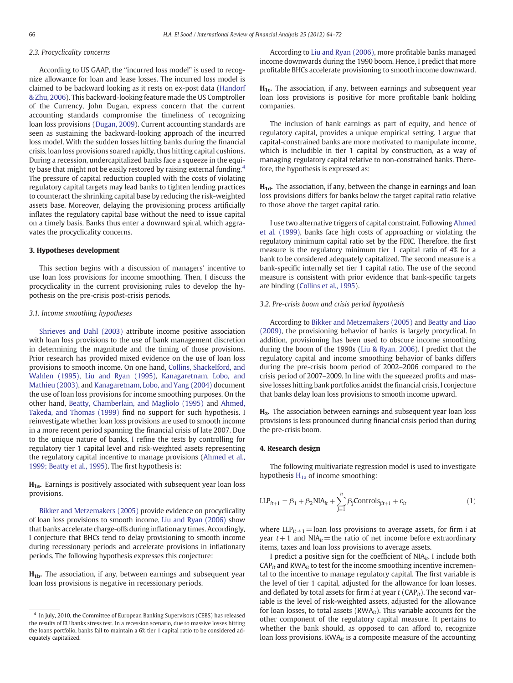### <span id="page-2-0"></span>2.3. Procyclicality concerns

According to US GAAP, the "incurred loss model" is used to recognize allowance for loan and lease losses. The incurred loss model is claimed to be backward looking as it rests on ex-post data [\(Handorf](#page-8-0) [& Zhu, 2006](#page-8-0)). This backward‐looking feature made the US Comptroller of the Currency, John Dugan, express concern that the current accounting standards compromise the timeliness of recognizing loan loss provisions ([Dugan, 2009](#page-8-0)). Current accounting standards are seen as sustaining the backward‐looking approach of the incurred loss model. With the sudden losses hitting banks during the financial crisis, loan loss provisions soared rapidly, thus hitting capital cushions. During a recession, undercapitalized banks face a squeeze in the equity base that might not be easily restored by raising external funding.<sup>4</sup> The pressure of capital reduction coupled with the costs of violating regulatory capital targets may lead banks to tighten lending practices to counteract the shrinking capital base by reducing the risk-weighted assets base. Moreover, delaying the provisioning process artificially inflates the regulatory capital base without the need to issue capital on a timely basis. Banks thus enter a downward spiral, which aggravates the procyclicality concerns.

#### 3. Hypotheses development

This section begins with a discussion of managers' incentive to use loan loss provisions for income smoothing. Then, I discuss the procyclicality in the current provisioning rules to develop the hypothesis on the pre-crisis post-crisis periods.

#### 3.1. Income smoothing hypotheses

[Shrieves and Dahl \(2003\)](#page-8-0) attribute income positive association with loan loss provisions to the use of bank management discretion in determining the magnitude and the timing of those provisions. Prior research has provided mixed evidence on the use of loan loss provisions to smooth income. On one hand, [Collins, Shackelford, and](#page-8-0) [Wahlen \(1995\)](#page-8-0), [Liu and Ryan \(1995\)](#page-8-0), [Kanagaretnam, Lobo, and](#page-8-0) [Mathieu \(2003\),](#page-8-0) and [Kanagaretnam, Lobo, and Yang \(2004\)](#page-8-0) document the use of loan loss provisions for income smoothing purposes. On the other hand, [Beatty, Chamberlain, and Magliolo \(1995\)](#page-7-0) and [Ahmed,](#page-7-0) [Takeda, and Thomas \(1999\)](#page-7-0) find no support for such hypothesis. I reinvestigate whether loan loss provisions are used to smooth income in a more recent period spanning the financial crisis of late 2007. Due to the unique nature of banks, I refine the tests by controlling for regulatory tier 1 capital level and risk‐weighted assets representing the regulatory capital incentive to manage provisions [\(Ahmed et al.,](#page-7-0) [1999; Beatty et al., 1995\)](#page-7-0). The first hypothesis is:

 $H_{1a}$ . Earnings is positively associated with subsequent year loan loss provisions.

[Bikker and Metzemakers \(2005\)](#page-7-0) provide evidence on procyclicality of loan loss provisions to smooth income. [Liu and Ryan \(2006\)](#page-8-0) show that banks accelerate charge-offs during inflationary times. Accordingly, I conjecture that BHCs tend to delay provisioning to smooth income during recessionary periods and accelerate provisions in inflationary periods. The following hypothesis expresses this conjecture:

 $H_{1b}$ . The association, if any, between earnings and subsequent year loan loss provisions is negative in recessionary periods.

According to [Liu and Ryan \(2006\),](#page-8-0) more profitable banks managed income downwards during the 1990 boom. Hence, I predict that more profitable BHCs accelerate provisioning to smooth income downward.

 $H<sub>1c</sub>$ . The association, if any, between earnings and subsequent year loan loss provisions is positive for more profitable bank holding companies.

The inclusion of bank earnings as part of equity, and hence of regulatory capital, provides a unique empirical setting. I argue that capital‐constrained banks are more motivated to manipulate income, which is includible in tier 1 capital by construction, as a way of managing regulatory capital relative to non-constrained banks. Therefore, the hypothesis is expressed as:

 $H_{1d}$ . The association, if any, between the change in earnings and loan loss provisions differs for banks below the target capital ratio relative to those above the target capital ratio.

I use two alternative triggers of capital constraint. Following [Ahmed](#page-7-0) [et al. \(1999\)](#page-7-0), banks face high costs of approaching or violating the regulatory minimum capital ratio set by the FDIC. Therefore, the first measure is the regulatory minimum tier 1 capital ratio of 4% for a bank to be considered adequately capitalized. The second measure is a bank-specific internally set tier 1 capital ratio. The use of the second measure is consistent with prior evidence that bank-specific targets are binding ([Collins et al., 1995](#page-8-0)).

#### 3.2. Pre-crisis boom and crisis period hypothesis

According to [Bikker and Metzemakers \(2005\)](#page-7-0) and [Beatty and Liao](#page-7-0) [\(2009\),](#page-7-0) the provisioning behavior of banks is largely procyclical. In addition, provisioning has been used to obscure income smoothing during the boom of the 1990s [\(Liu & Ryan, 2006\)](#page-8-0). I predict that the regulatory capital and income smoothing behavior of banks differs during the pre-crisis boom period of 2002–2006 compared to the crisis period of 2007–2009. In line with the squeezed profits and massive losses hitting bank portfolios amidst the financial crisis, I conjecture that banks delay loan loss provisions to smooth income upward.

H<sub>2</sub>. The association between earnings and subsequent year loan loss provisions is less pronounced during financial crisis period than during the pre-crisis boom.

#### 4. Research design

The following multivariate regression model is used to investigate hypothesis  $H_{1a}$  of income smoothing:

$$
LLP_{it+1} = \beta_1 + \beta_2 NIA_{it} + \sum_{j=1}^{n} \beta_j Controls_{jit+1} + \varepsilon_{it}
$$
 (1)

where  $LIP_{it+1}$ =loan loss provisions to average assets, for firm *i* at year  $t + 1$  and NIA<sub>it</sub> = the ratio of net income before extraordinary items, taxes and loan loss provisions to average assets.

I predict a positive sign for the coefficient of  $NIA_{it}$ . I include both  $CAP<sub>it</sub>$  and RWA $<sub>it</sub>$  to test for the income smoothing incentive incremen-</sub> tal to the incentive to manage regulatory capital. The first variable is the level of tier 1 capital, adjusted for the allowance for loan losses, and deflated by total assets for firm *i* at year  $t$  (CAP<sub>it</sub>). The second variable is the level of risk-weighted assets, adjusted for the allowance for loan losses, to total assets ( $RWA_{it}$ ). This variable accounts for the other component of the regulatory capital measure. It pertains to whether the bank should, as opposed to can afford to, recognize loan loss provisions.  $RWA_{it}$  is a composite measure of the accounting

<sup>&</sup>lt;sup>4</sup> In July, 2010, the Committee of European Banking Supervisors (CEBS) has released the results of EU banks stress test. In a recession scenario, due to massive losses hitting the loans portfolio, banks fail to maintain a 6% tier 1 capital ratio to be considered adequately capitalized.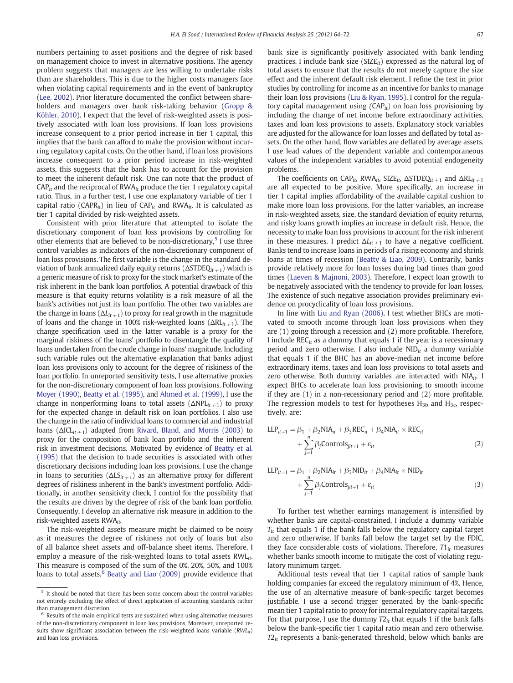numbers pertaining to asset positions and the degree of risk based on management choice to invest in alternative positions. The agency problem suggests that managers are less willing to undertake risks than are shareholders. This is due to the higher costs managers face when violating capital requirements and in the event of bankruptcy [\(Lee, 2002\)](#page-8-0). Prior literature documented the conflict between shareholders and managers over bank risk-taking behavior ([Gropp &](#page-8-0) [Köhler, 2010](#page-8-0)). I expect that the level of risk-weighted assets is positively associated with loan loss provisions. If loan loss provisions increase consequent to a prior period increase in tier 1 capital, this implies that the bank can afford to make the provision without incurring regulatory capital costs. On the other hand, if loan loss provisions increase consequent to a prior period increase in risk‐weighted assets, this suggests that the bank has to account for the provision to meet the inherent default risk. One can note that the product of  $CAP<sub>it</sub>$  and the reciprocal of RWA $_{it}$  produce the tier 1 regulatory capital ratio. Thus, in a further test, I use one explanatory variable of tier 1 capital ratio (CAPR<sub>it</sub>) in lieu of CAP<sub>it</sub> and RWA<sub>it</sub>. It is calculated as tier 1 capital divided by risk‐weighted assets.

Consistent with prior literature that attempted to isolate the discretionary component of loan loss provisions by controlling for other elements that are believed to be non-discretionary, $5$  I use three control variables as indicators of the non-discretionary component of loan loss provisions. The first variable is the change in the standard deviation of bank annualized daily equity returns ( $\Delta$ STDEQ<sub>it+1</sub>) which is a generic measure of risk to proxy for the stock market's estimate of the risk inherent in the bank loan portfolios. A potential drawback of this measure is that equity returns volatility is a risk measure of all the bank's activities not just its loan portfolio. The other two variables are the change in loans ( $\Delta L_{it+1}$ ) to proxy for real growth in the magnitude of loans and the change in 100% risk-weighted loans ( $\Delta R L_{it+1}$ ). The change specification used in the latter variable is a proxy for the marginal riskiness of the loans' portfolio to disentangle the quality of loans undertaken from the crude change in loans' magnitude. Including such variable rules out the alternative explanation that banks adjust loan loss provisions only to account for the degree of riskiness of the loan portfolio. In unreported sensitivity tests, I use alternative proxies for the non-discretionary component of loan loss provisions. Following [Moyer \(1990\),](#page-8-0) [Beatty et al. \(1995\)](#page-7-0), and [Ahmed et al. \(1999\),](#page-7-0) I use the change in nonperforming loans to total assets  $(\Delta NPL_{it+1})$  to proxy for the expected change in default risk on loan portfolios. I also use the change in the ratio of individual loans to commercial and industrial loans ( $\Delta$ ICL<sub>it+1</sub>) adapted from [Rivard, Bland, and Morris \(2003\)](#page-8-0) to proxy for the composition of bank loan portfolio and the inherent risk in investment decisions. Motivated by evidence of [Beatty et al.](#page-7-0) [\(1995\)](#page-7-0) that the decision to trade securities is associated with other discretionary decisions including loan loss provisions, I use the change in loans to securities ( $\Delta LS_{it+1}$ ) as an alternative proxy for different degrees of riskiness inherent in the bank's investment portfolio. Additionally, in another sensitivity check, I control for the possibility that the results are driven by the degree of risk of the bank loan portfolio. Consequently, I develop an alternative risk measure in addition to the risk-weighted assets  $RWA_{it}$ .

The risk-weighted assets measure might be claimed to be noisy as it measures the degree of riskiness not only of loans but also of all balance sheet assets and off-balance sheet items. Therefore, I employ a measure of the risk-weighted loans to total assets  $RWL_{it}$ . This measure is composed of the sum of the 0%, 20%, 50%, and 100% loans to total assets. $6$  [Beatty and Liao \(2009\)](#page-7-0) provide evidence that bank size is significantly positively associated with bank lending practices. I include bank size ( $SIZE_{it}$ ) expressed as the natural log of total assets to ensure that the results do not merely capture the size effect and the inherent default risk element. I refine the test in prior studies by controlling for income as an incentive for banks to manage their loan loss provisions [\(Liu & Ryan, 1995\)](#page-8-0). I control for the regulatory capital management using  $(CAP_{it})$  on loan loss provisioning by including the change of net income before extraordinary activities, taxes and loan loss provisions to assets. Explanatory stock variables are adjusted for the allowance for loan losses and deflated by total assets. On the other hand, flow variables are deflated by average assets. I use lead values of the dependent variable and contemporaneous values of the independent variables to avoid potential endogeneity problems.

The coefficients on  $\text{CAP}_{it}$ , RWA<sub>it</sub>, SIZE<sub>it</sub>,  $\Delta$ STDEQ<sub>it +1</sub> and  $\Delta$ RL<sub>it +1</sub> are all expected to be positive. More specifically, an increase in tier 1 capital implies affordability of the available capital cushion to make more loan loss provisions. For the latter variables, an increase in risk-weighted assets, size, the standard deviation of equity returns, and risky loans growth implies an increase in default risk. Hence, the necessity to make loan loss provisions to account for the risk inherent in these measures. I predict  $\Delta L_{it+1}$  to have a negative coefficient. Banks tend to increase loans in periods of a rising economy and shrink loans at times of recession [\(Beatty & Liao, 2009](#page-7-0)). Contrarily, banks provide relatively more for loan losses during bad times than good times ([Laeven & Majnoni, 2003\)](#page-8-0). Therefore, I expect loan growth to be negatively associated with the tendency to provide for loan losses. The existence of such negative association provides preliminary evidence on procyclicality of loan loss provisions.

In line with [Liu and Ryan \(2006\)](#page-8-0), I test whether BHCs are motivated to smooth income through loan loss provisions when they are (1) going through a recession and (2) more profitable. Therefore, I include  $\text{REC}_{it}$  as a dummy that equals 1 if the year is a recessionary period and zero otherwise. I also include  $NID_{it}$  a dummy variable that equals 1 if the BHC has an above-median net income before extraordinary items, taxes and loan loss provisions to total assets and zero otherwise. Both dummy variables are interacted with  $NIA_{ir}$ . I expect BHCs to accelerate loan loss provisioning to smooth income if they are (1) in a non-recessionary period and (2) more profitable. The regression models to test for hypotheses  $H_{3b}$  and  $H_{3c}$ , respectively, are:

$$
LLP_{it+1} = \beta_1 + \beta_2 NIA_{it} + \beta_3 REC_{it} + \beta_4 NIA_{it} \times REC_{it}
$$
  
+ 
$$
\sum_{j=1}^{n} \beta_j Controls_{jit+1} + \varepsilon_{it}
$$
 (2)

$$
LLP_{it+1} = \beta_1 + \beta_2 NIA_{it} + \beta_3 NID_{it} + \beta_4 NIA_{it} \times NID_{it}
$$
  
+ 
$$
\sum_{j=1}^{n} \beta_j ControIs_{jit+1} + \varepsilon_{it}
$$
 (3)

To further test whether earnings management is intensified by whether banks are capital-constrained, I include a dummy variable  $T_{it}$  that equals 1 if the bank falls below the regulatory capital target and zero otherwise. If banks fall below the target set by the FDIC, they face considerable costs of violations. Therefore,  $T1_{it}$  measures whether banks smooth income to mitigate the cost of violating regulatory minimum target.

Additional tests reveal that tier 1 capital ratios of sample bank holding companies far exceed the regulatory minimum of 4%. Hence, the use of an alternative measure of bank-specific target becomes justifiable. I use a second trigger generated by the bank-specific mean tier 1 capital ratio to proxy for internal regulatory capital targets. For that purpose, I use the dummy  $T2_{it}$  that equals 1 if the bank falls below the bank-specific tier 1 capital ratio mean and zero otherwise.  $T2_{it}$  represents a bank-generated threshold, below which banks are

<sup>&</sup>lt;sup>5</sup> It should be noted that there has been some concern about the control variables not entirely excluding the effect of direct application of accounting standards rather than management discretion.

 $6$  Results of the main empirical tests are sustained when using alternative measures of the non-discretionary component in loan loss provisions. Moreover, unreported results show significant association between the risk-weighted loans variable  $(RWL<sub>it</sub>)$ and loan loss provisions.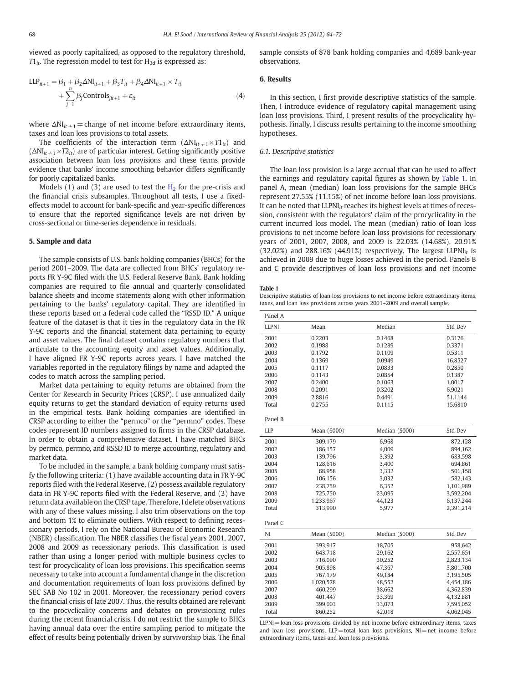<span id="page-4-0"></span>viewed as poorly capitalized, as opposed to the regulatory threshold,  $T1_{it}$ . The regression model to test for  $H_{3d}$  is expressed as:

$$
LLP_{it+1} = \beta_1 + \beta_2 \Delta NI_{it+1} + \beta_3 T_{it} + \beta_4 \Delta NI_{it+1} \times T_{it}
$$
  
+ 
$$
\sum_{j=1}^{n} \beta_j \text{Controls}_{jit+1} + \varepsilon_{it}
$$
 (4)

where  $\Delta NI_{it+1}$  = change of net income before extraordinary items, taxes and loan loss provisions to total assets.

The coefficients of the interaction term  $(\Delta N I_{it+1} \times T I_{it})$  and  $(\Delta NI_{it+1} \times T2_{it})$  are of particular interest. Getting significantly positive association between loan loss provisions and these terms provide evidence that banks' income smoothing behavior differs significantly for poorly capitalized banks.

Models (1) and (3) are used to test the  $H<sub>2</sub>$  for the pre-crisis and the financial crisis subsamples. Throughout all tests, I use a fixed‐ effects model to account for bank-specific and year-specific differences to ensure that the reported significance levels are not driven by cross-sectional or time-series dependence in residuals.

#### 5. Sample and data

The sample consists of U.S. bank holding companies (BHCs) for the period 2001–2009. The data are collected from BHCs' regulatory reports FR Y-9C filed with the U.S. Federal Reserve Bank. Bank holding companies are required to file annual and quarterly consolidated balance sheets and income statements along with other information pertaining to the banks' regulatory capital. They are identified in these reports based on a federal code called the "RSSD ID." A unique feature of the dataset is that it ties in the regulatory data in the FR Y-9C reports and the financial statement data pertaining to equity and asset values. The final dataset contains regulatory numbers that articulate to the accounting equity and asset values. Additionally, I have aligned FR Y-9C reports across years. I have matched the variables reported in the regulatory filings by name and adapted the codes to match across the sampling period.

Market data pertaining to equity returns are obtained from the Center for Research in Security Prices (CRSP). I use annualized daily equity returns to get the standard deviation of equity returns used in the empirical tests. Bank holding companies are identified in CRSP according to either the "permco" or the "permno" codes. These codes represent ID numbers assigned to firms in the CRSP database. In order to obtain a comprehensive dataset, I have matched BHCs by permco, permno, and RSSD ID to merge accounting, regulatory and market data.

To be included in the sample, a bank holding company must satisfy the following criteria: (1) have available accounting data in FR Y-9C reports filed with the Federal Reserve, (2) possess available regulatory data in FR Y-9C reports filed with the Federal Reserve, and (3) have return data available on the CRSP tape. Therefore, I delete observations with any of these values missing. I also trim observations on the top and bottom 1% to eliminate outliers. With respect to defining recessionary periods, I rely on the National Bureau of Economic Research (NBER) classification. The NBER classifies the fiscal years 2001, 2007, 2008 and 2009 as recessionary periods. This classification is used rather than using a longer period with multiple business cycles to test for procyclicality of loan loss provisions. This specification seems necessary to take into account a fundamental change in the discretion and documentation requirements of loan loss provisions defined by SEC SAB No 102 in 2001. Moreover, the recessionary period covers the financial crisis of late 2007. Thus, the results obtained are relevant to the procyclicality concerns and debates on provisioning rules during the recent financial crisis. I do not restrict the sample to BHCs having annual data over the entire sampling period to mitigate the effect of results being potentially driven by survivorship bias. The final

sample consists of 878 bank holding companies and 4,689 bank-year observations.

#### 6. Results

In this section, I first provide descriptive statistics of the sample. Then, I introduce evidence of regulatory capital management using loan loss provisions. Third, I present results of the procyclicality hypothesis. Finally, I discuss results pertaining to the income smoothing hypotheses.

#### 6.1. Descriptive statistics

The loan loss provision is a large accrual that can be used to affect the earnings and regulatory capital figures as shown by Table 1. In panel A, mean (median) loan loss provisions for the sample BHCs represent 27.55% (11.15%) of net income before loan loss provisions. It can be noted that  $LLPNI_{it}$  reaches its highest levels at times of recession, consistent with the regulators' claim of the procyclicality in the current incurred loss model. The mean (median) ratio of loan loss provisions to net income before loan loss provisions for recessionary years of 2001, 2007, 2008, and 2009 is 22.03% (14.68%), 20.91% (32.02%) and 288.16% (44.91%) respectively. The largest  $LLPNI<sub>it</sub>$  is achieved in 2009 due to huge losses achieved in the period. Panels B and C provide descriptives of loan loss provisions and net income

#### Table 1

Descriptive statistics of loan loss provisions to net income before extraordinary items, taxes, and loan loss provisions across years 2001–2009 and overall sample.

| Panel A      |              |                |           |
|--------------|--------------|----------------|-----------|
| <b>LLPNI</b> | Mean         | Median         | Std Dev   |
| 2001         | 0.2203       | 0.1468         | 0.3176    |
| 2002         | 0.1988       | 0.1289         | 0.3371    |
| 2003         | 0.1792       | 0.1109         | 0.5311    |
| 2004         | 0.1369       | 0.0949         | 16.8527   |
| 2005         | 0.1117       | 0.0833         | 0.2850    |
| 2006         | 0.1143       | 0.0854         | 0.1387    |
| 2007         | 0.2400       | 0.1063         | 1.0017    |
| 2008         | 0.2091       | 0.3202         | 6.9021    |
| 2009         | 2.8816       | 0.4491         | 51.1144   |
| Total        | 0.2755       | 0.1115         | 15.6810   |
| Panel B      |              |                |           |
| <b>LLP</b>   | Mean (\$000) | Median (\$000) | Std Dev   |
| 2001         | 309,179      | 6,968          | 872,128   |
| 2002         | 186,157      | 4,009          | 894,162   |
| 2003         | 139,796      | 3,392          | 683,598   |
| 2004         | 128,616      | 3,400          | 694,861   |
| 2005         | 88,958       | 3,332          | 501,158   |
| 2006         | 106,156      | 3,032          | 582,143   |
| 2007         | 238,759      | 6,352          | 1,101,989 |
| 2008         | 725,750      | 23,095         | 3,592,204 |
| 2009         | 1,233,967    | 44,123         | 6,137,244 |
| Total        | 313,990      | 5,977          | 2,391,214 |
| Panel C      |              |                |           |
| NI           | Mean (\$000) | Median (\$000) | Std Dev   |
| 2001         | 393,917      | 18,705         | 958,642   |
| 2002         | 643,718      | 29,162         | 2,557,651 |
| 2003         | 716,090      | 30,252         | 2,823,134 |
| 2004         | 905,898      | 47,367         | 3,801,700 |
| 2005         | 767,179      | 49.184         | 3.195.505 |
| 2006         | 1,020,578    | 48,552         | 4,454,186 |
| 2007         | 460,299      | 38,662         | 4,362,839 |
| 2008         | 401,447      | 33,369         | 4,132,881 |
| 2009         | 399,003      | 33,073         | 7,595,052 |
| Total        | 860,252      | 42,018         | 4,062,045 |

LLPNI=loan loss provisions divided by net income before extraordinary items, taxes and loan loss provisions,  $LLP$  = total loan loss provisions,  $NI$  = net income before extraordinary items, taxes and loan loss provisions.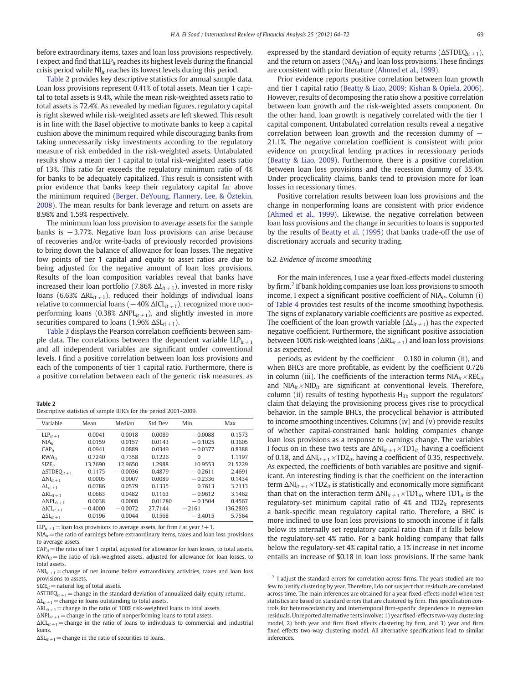before extraordinary items, taxes and loan loss provisions respectively. I expect and find that  $LLP_{it}$  reaches its highest levels during the financial crisis period while  $NI_{it}$  reaches its lowest levels during this period.

Table 2 provides key descriptive statistics for annual sample data. Loan loss provisions represent 0.41% of total assets. Mean tier 1 capital to total assets is 9.4%, while the mean risk-weighted assets ratio to total assets is 72.4%. As revealed by median figures, regulatory capital is right skewed while risk‐weighted assets are left skewed. This result is in line with the Basel objective to motivate banks to keep a capital cushion above the minimum required while discouraging banks from taking unnecessarily risky investments according to the regulatory measure of risk embedded in the risk‐weighted assets. Untabulated results show a mean tier 1 capital to total risk-weighted assets ratio of 13%. This ratio far exceeds the regulatory minimum ratio of 4% for banks to be adequately capitalized. This result is consistent with prior evidence that banks keep their regulatory capital far above the minimum required ([Berger, DeYoung, Flannery, Lee, & Öztekin,](#page-7-0) [2008\)](#page-7-0). The mean results for bank leverage and return on assets are 8.98% and 1.59% respectively.

The minimum loan loss provision to average assets for the sample banks is −3.77%. Negative loan loss provisions can arise because of recoveries and/or write-backs of previously recorded provisions to bring down the balance of allowance for loan losses. The negative low points of tier 1 capital and equity to asset ratios are due to being adjusted for the negative amount of loan loss provisions. Results of the loan composition variables reveal that banks have increased their loan portfolio (7.86%  $\Delta L_{it+1}$ ), invested in more risky loans (6.63%  $\Delta R L_{it+1}$ ), reduced their holdings of individual loans relative to commercial loans ( $-40\%$   $\Delta$ ICL<sub>it +1</sub>), recognized more nonperforming loans (0.38%  $\Delta NPL_{it+1}$ ), and slightly invested in more securities compared to loans (1.96%  $\Delta SL_{it+1}$ ).

[Table 3](#page-6-0) displays the Pearson correlation coefficients between sample data. The correlations between the dependent variable  $LLP_{it+1}$ and all independent variables are significant under conventional levels. I find a positive correlation between loan loss provisions and each of the components of tier 1 capital ratio. Furthermore, there is a positive correlation between each of the generic risk measures, as

| . .<br>. .<br>$\sim$ |  |
|----------------------|--|
|----------------------|--|

| Descriptive statistics of sample BHCs for the period 2001–2009. |
|-----------------------------------------------------------------|
|-----------------------------------------------------------------|

| Variable                        | Mean      | Median    | Std Dev | Min       | Max      |
|---------------------------------|-----------|-----------|---------|-----------|----------|
| $LLP_{it+1}$                    | 0.0041    | 0.0018    | 0.0089  | $-0.0088$ | 0.1573   |
| $NIA_{it}$                      | 0.0159    | 0.0157    | 0.0143  | $-0.1025$ | 0.3605   |
| CAP <sub>ir</sub>               | 0.0941    | 0.0889    | 0.0349  | $-0.0377$ | 0.8388   |
| $RWA_{it}$                      | 0.7240    | 0.7358    | 0.1226  | $\Omega$  | 1.1197   |
| $SIZE_{it}$                     | 13.2690   | 12.9650   | 1.2988  | 10.9553   | 21.5229  |
| $\Delta$ STDEQ <sub>it +1</sub> | 0.1175    | $-0.0036$ | 0.4879  | $-0.2611$ | 2.4691   |
| $\Delta N I_{it+1}$             | 0.0005    | 0.0007    | 0.0089  | $-0.2336$ | 0.1434   |
| $\Delta L_{it+1}$               | 0.0786    | 0.0579    | 0.1335  | 0.7613    | 3.7113   |
| $\Delta R$ $L_{it+1}$           | 0.0663    | 0.0482    | 0.1163  | $-0.9612$ | 3.1462   |
| $\Delta$ NPL <sub>it +1</sub>   | 0.0038    | 0.0008    | 0.01780 | $-0.1504$ | 0.4567   |
| $\Delta \text{ICL}_{it+1}$      | $-0.4000$ | $-0.0072$ | 27.7144 | $-2161$   | 136.2803 |
| $\Delta SL_{it+1}$              | 0.0196    | 0.0044    | 0.1568  | $-3.4015$ | 5.7564   |

 $LIP_{it+1}$ =loan loss provisions to average assets, for firm *i* at year  $t+1$ .

 $NIA_{it}$  = the ratio of earnings before extraordinary items, taxes and loan loss provisions to average assets.

 $CAP<sub>it</sub>$  = the ratio of tier 1 capital, adjusted for allowance for loan losses, to total assets.  $RWA_{it}$ = the ratio of risk-weighted assets, adjusted for allowance for loan losses, to total assets.

 $\Delta NI_{it+1}$  = change of net income before extraordinary activities, taxes and loan loss provisions to assets.

 $SIZE_{it}$  = natural log of total assets.

 $\Delta$ STDEQ<sub>it +1</sub> = change in the standard deviation of annualized daily equity returns.

 $\Delta L_{it+1}$  = change in loans outstanding to total assets.

 $\Delta R L_{it+1}$  = change in the ratio of 100% risk-weighted loans to total assets.

 $\Delta$ NPL<sub>it +1</sub> = change in the ratio of nonperforming loans to total assets.  $\Delta ICL_{it+1}$  = change in the ratio of loans to individuals to commercial and industrial

loans.

 $\Delta SL_{t+1}$  = change in the ratio of securities to loans.

expressed by the standard deviation of equity returns ( $\Delta$ STDEQ<sub>it +1</sub>), and the return on assets ( $NIA_{it}$ ) and loan loss provisions. These findings are consistent with prior literature [\(Ahmed et al., 1999\)](#page-7-0).

Prior evidence reports positive correlation between loan growth and tier 1 capital ratio ([Beatty & Liao, 2009; Kishan & Opiela, 2006](#page-7-0)). However, results of decomposing the ratio show a positive correlation between loan growth and the risk-weighted assets component. On the other hand, loan growth is negatively correlated with the tier 1 capital component. Untabulated correlation results reveal a negative correlation between loan growth and the recession dummy of  $-$ 21.1%. The negative correlation coefficient is consistent with prior evidence on procyclical lending practices in recessionary periods [\(Beatty & Liao, 2009\)](#page-7-0). Furthermore, there is a positive correlation between loan loss provisions and the recession dummy of 35.4%. Under procyclicality claims, banks tend to provision more for loan losses in recessionary times.

Positive correlation results between loan loss provisions and the change in nonperforming loans are consistent with prior evidence [\(Ahmed et al., 1999](#page-7-0)). Likewise, the negative correlation between loan loss provisions and the change in securities to loans is supported by the results of [Beatty et al. \(1995\)](#page-7-0) that banks trade-off the use of discretionary accruals and security trading.

#### 6.2. Evidence of income smoothing

For the main inferences, I use a year fixed-effects model clustering by firm.<sup>7</sup> If bank holding companies use loan loss provisions to smooth income, I expect a significant positive coefficient of  $NIA_{it}$ . Column (i) of [Table 4](#page-6-0) provides test results of the income smoothing hypothesis. The signs of explanatory variable coefficients are positive as expected. The coefficient of the loan growth variable ( $\Delta L_{it+1}$ ) has the expected negative coefficient. Furthermore, the significant positive association between 100% risk-weighted loans ( $\Delta R L_{it+1}$ ) and loan loss provisions is as expected.

periods, as evident by the coefficient  $-0.180$  in column (ii), and when BHCs are more profitable, as evident by the coefficient 0.726 in column (iii). The coefficients of the interaction terms  $NIA_{it} \times REC_{it}$ and  $NIA_{it}$ ×NID<sub>it</sub> are significant at conventional levels. Therefore, column (ii) results of testing hypothesis  $H_{3b}$  support the regulators' claim that delaying the provisioning process gives rise to procyclical behavior. In the sample BHCs, the procyclical behavior is attributed to income smoothing incentives. Columns (iv) and (v) provide results of whether capital‐constrained bank holding companies change loan loss provisions as a response to earnings change. The variables I focus on in these two tests are  $\Delta NI_{it+1} \times TD1_{it}$ , having a coefficient of 0.18, and  $\Delta NI_{it+1} \times TD2_{it}$ , having a coefficient of 0.35, respectively. As expected, the coefficients of both variables are positive and significant. An interesting finding is that the coefficient on the interaction term  $\Delta NI_{it+1} \times TD2_{it}$  is statistically and economically more significant than that on the interaction term  $\Delta NI_{it+1} \times TD1_{it}$ , where  $TD1_{it}$  is the regulatory-set minimum capital ratio of  $4\%$  and TD2 $_{it}$  represents a bank-specific mean regulatory capital ratio. Therefore, a BHC is more inclined to use loan loss provisions to smooth income if it falls below its internally set regulatory capital ratio than if it falls below the regulatory-set 4% ratio. For a bank holding company that falls below the regulatory-set 4% capital ratio, a 1% increase in net income entails an increase of \$0.18 in loan loss provisions. If the same bank

 $7$  I adjust the standard errors for correlation across firms. The years studied are too few to justify clustering by year. Therefore, I do not suspect that residuals are correlated across time. The main inferences are obtained for a year fixed-effects model when test statistics are based on standard errors that are clustered by firm. This specification controls for heteroscedasticity and intertemporal firm-specific dependence in regression residuals. Unreported alternative tests involve: 1) year fixed-effects two-way clustering model, 2) both year and firm fixed effects clustering by firm, and 3) year and firm fixed effects two-way clustering model. All alternative specifications lead to similar inferences.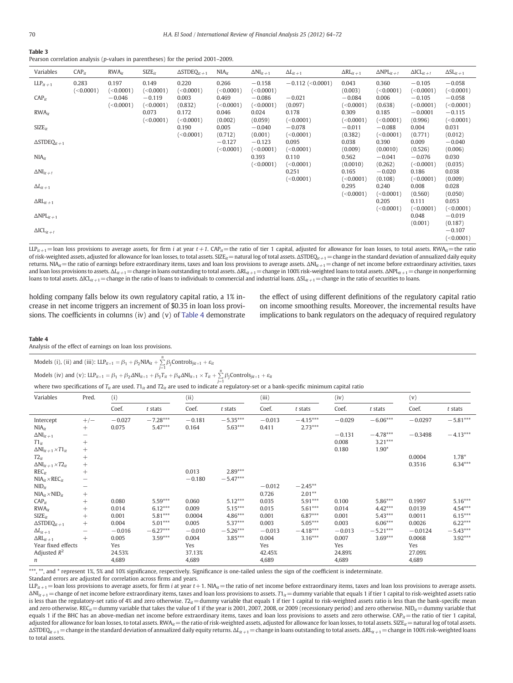<span id="page-6-0"></span>

Pearson correlation analysis (p-values in parentheses) for the period 2001–2009.

| Variables                          | CAP <sub>ir</sub> | $RWA_{it}$                         | $SIZE_{it}$                        | $\triangle$ STDEQ <sub>it +1</sub> | $NIA_{it}$                      | $\Delta NI_{it+1}$                 | $\Delta L_{it+1}$                  | $\Delta R$ $L_{it+1}$            | $\Delta NPL_{it+1}$                | $\Delta \text{ICL}_{it+1}$         | $\Delta SL_{it+1}$                 |
|------------------------------------|-------------------|------------------------------------|------------------------------------|------------------------------------|---------------------------------|------------------------------------|------------------------------------|----------------------------------|------------------------------------|------------------------------------|------------------------------------|
| $LLP_{it+1}$                       | 0.283             | 0.197                              | 0.149                              | 0.220                              | 0.266                           | $-0.158$                           | $-0.112$ (<0.0001)                 | 0.043                            | 0.360                              | $-0.105$                           | $-0.058$                           |
| CAP <sub>it</sub>                  | (<0.0001)         | (<0.0001)<br>$-0.046$<br>(<0.0001) | (<0.0001)<br>$-0.119$<br>(<0.0001) | (<0.0001)<br>0.003<br>(0.832)      | (<0.0001)<br>0.469<br>(<0.0001) | (<0.0001)<br>$-0.086$<br>(<0.0001) | $-0.021$<br>(0.097)                | (0.003)<br>$-0.084$<br>(<0.0001) | (<0.0001)<br>0.006<br>(0.638)      | (<0.0001)<br>$-0.105$<br>(<0.0001) | (<0.0001)<br>$-0.058$<br>(<0.0001) |
| $RWA_{it}$                         |                   |                                    | 0.073                              | 0.172                              | 0.046                           | 0.024                              | 0.178                              | 0.309                            | 0.185                              | $-0.0001$                          | $-0.115$                           |
| $SIZE_{it}$                        |                   |                                    | (<0.0001)                          | (<0.0001)<br>0.190<br>(<0.0001)    | (0.002)<br>0.005<br>(0.712)     | (0.059)<br>$-0.040$<br>(0.001)     | (<0.0001)<br>$-0.078$<br>(<0.0001) | (<0.0001)<br>$-0.011$<br>(0.382) | (<0.0001)<br>$-0.088$<br>(<0.0001) | (0.996)<br>0.004<br>(0.771)        | (<0.0001)<br>0.031<br>(0.012)      |
| $\triangle$ STDEQ <sub>it +1</sub> |                   |                                    |                                    |                                    | $-0.127$                        | $-0.123$                           | 0.095                              | 0.038                            | 0.390                              | 0.009                              | $-0.040$                           |
|                                    |                   |                                    |                                    |                                    | (<0.0001)                       | (<0.0001)                          | (<0.0001)                          | (0.009)                          | (0.0010)                           | (0.526)                            | (0.006)                            |
| $NIA_{it}$                         |                   |                                    |                                    |                                    |                                 | 0.393<br>(<0.0001)                 | 0.110<br>(<0.0001)                 | 0.562<br>(0.0010)                | $-0.041$<br>(0.262)                | $-0.076$<br>(<0.0001)              | 0.030<br>(0.035)                   |
| $\Delta NI_{it+1}$                 |                   |                                    |                                    |                                    |                                 |                                    | 0.251                              | 0.165                            | $-0.020$                           | 0.186                              | 0.038                              |
|                                    |                   |                                    |                                    |                                    |                                 |                                    | (<0.0001)                          | (<0.0001)                        | (0.108)                            | (<0.0001)                          | (0.009)                            |
| $\Delta L_{it+1}$                  |                   |                                    |                                    |                                    |                                 |                                    |                                    | 0.295<br>(<0.0001)               | 0.240<br>(<0.0001)                 | 0.008<br>(0.560)                   | 0.028                              |
| $\Delta R L_{it+1}$                |                   |                                    |                                    |                                    |                                 |                                    |                                    |                                  | 0.205                              | 0.111                              | (0.050)<br>0.053                   |
| $\Delta NPL_{it+1}$                |                   |                                    |                                    |                                    |                                 |                                    |                                    |                                  | (<0.0001)                          | (<0.0001)<br>0.048                 | (<0.0001)<br>$-0.019$              |
| $\Delta \text{ICL}_{it+1}$         |                   |                                    |                                    |                                    |                                 |                                    |                                    |                                  |                                    | (0.001)                            | (0.187)<br>$-0.107$<br>(<0.0001)   |

LLP<sub>it+1</sub> = loan loss provisions to average assets, for firm *i* at year t+1. CAP<sub>it</sub>= the ratio of tier 1 capital, adjusted for allowance for loan losses, to total assets. RWA<sub>it</sub>=the ratio of risk-weighted assets, adjusted for allowance for loan losses, to total assets. SIZE<sub>it</sub>=natural log of total assets. ΔSTDEQ<sub>it+1</sub> = change in the standard deviation of annualized daily equity returns. NIA<sub>it</sub>= the ratio of earnings before extraordinary items, taxes and loan loss provisions to average assets. ΔNI<sub>it+1</sub> = change of net income before extraordinary activities, taxes and loan loss provisions to assets.  $\Delta l_{it+1}$  = change in loans outstanding to total assets.  $\Delta R l_{it+1}$  = change in 100% risk-weighted loans to total assets.  $\Delta N Pl_{it+1}$  = change in nonperforming loans to total assets.  $\Delta ICI_{it+1}$  = change in the ratio of loans to individuals to commercial and industrial loans.  $\Delta SI_{it+1}$  = change in the ratio of securities to loans.

holding company falls below its own regulatory capital ratio, a 1% increase in net income triggers an increment of \$0.35 in loan loss provisions. The coefficients in columns (iv) and (v) of Table 4 demonstrate the effect of using different definitions of the regulatory capital ratio on income smoothing results. Moreover, the incremental results have implications to bank regulators on the adequacy of required regulatory

#### Table 4

Analysis of the effect of earnings on loan loss provisions.

Models (i), (ii) and (iii): 
$$
LLP_{it+1} = \beta_1 + \beta_2 NIA_{it} + \sum_{j=1}^{n} \beta_j Controls_{jit+1} + \varepsilon_{it}
$$
  
Models (iv) and (v):  $LLP_{it+1} = \beta_1 + \beta_2 \Delta NI_{it+1} + \beta_3 T_{it} + \beta_4 \Delta NI_{it+1} \times T_{it} + \sum_{i=1}^{n} \beta_j Controls_{jit+1} + \varepsilon_{it}$ 

where two specifications of  $T_{it}$  are used. T1<sub>it</sub> and T2<sub>it</sub> are used to indicate a regulatory-set or a bank-specific minimum capital ratio

| Variables                          | Pred.             | (i)      |            |          | (ii)       |          | (iii)      |          | (iv)       |           | (v)        |  |
|------------------------------------|-------------------|----------|------------|----------|------------|----------|------------|----------|------------|-----------|------------|--|
|                                    |                   | Coef.    | t stats    | Coef.    | t stats    | Coef.    | t stats    | Coef.    | t stats    | Coef.     | $t$ stats  |  |
| Intercept                          | $+/-$             | $-0.027$ | $-7.28***$ | $-0.181$ | $-5.35***$ | $-0.013$ | $-4.15***$ | $-0.029$ | $-6.06***$ | $-0.0297$ | $-5.81***$ |  |
| $NIA_{it}$                         | $^{+}$            | 0.075    | $5.47***$  | 0.164    | $5.63***$  | 0.411    | $2.73***$  |          |            |           |            |  |
| $\Delta NI_{it+1}$                 | —                 |          |            |          |            |          |            | $-0.131$ | $-4.78***$ | $-0.3498$ | $-4.13***$ |  |
| $T1_{it}$                          | $+$               |          |            |          |            |          |            | 0.008    | $3.21***$  |           |            |  |
| $\Delta NI_{it+1} \times T1_{it}$  | $^{+}$            |          |            |          |            |          |            | 0.180    | $1.90*$    |           |            |  |
| $T2_{it}$                          | $^{+}$            |          |            |          |            |          |            |          |            | 0.0004    | $1.78*$    |  |
| $\Delta N I_{it+1} \times T2_{it}$ | $^{+}$            |          |            |          |            |          |            |          |            | 0.3516    | $6.34***$  |  |
| $REC_{it}$                         | $^{+}$            |          |            | 0.013    | $2.89***$  |          |            |          |            |           |            |  |
| $NIA_{it} \times REC_{it}$         | -                 |          |            | $-0.180$ | $-5.47***$ |          |            |          |            |           |            |  |
| $NID_{it}$                         | —                 |          |            |          |            | $-0.012$ | $-2.45***$ |          |            |           |            |  |
| $NIA_{it}$ × $NID_{it}$            | $^{+}$            |          |            |          |            | 0.726    | $2.01**$   |          |            |           |            |  |
| CAP <sub>it</sub>                  | $+$               | 0.080    | $5.59***$  | 0.060    | $5.12***$  | 0.035    | $5.91***$  | 0.100    | $5.86***$  | 0.1997    | $5.16***$  |  |
| $RWA_{ir}$                         | $^{+}$            | 0.014    | $6.12***$  | 0.009    | $5.15***$  | 0.015    | $5.61***$  | 0.014    | $4.42***$  | 0.0139    | 4.54***    |  |
| $SIZE_{it}$                        | $^{+}$            | 0.001    | $5.81***$  | 0.0004   | $4.86***$  | 0.001    | $6.87***$  | 0.001    | $5.43***$  | 0.0011    | $6.15***$  |  |
| $\Delta \text{STDEQ}_{it\, +1}$    | $^{+}$            | 0.004    | $5.01***$  | 0.005    | $5.37***$  | 0.003    | $5.05***$  | 0.003    | $6.06***$  | 0.0026    | $6.22***$  |  |
| $\Delta L_{it+1}$                  | $\qquad \qquad -$ | $-0.016$ | $-6.27***$ | $-0.010$ | $-5.26***$ | $-0.013$ | $-4.18***$ | $-0.013$ | $-5.21***$ | $-0.0124$ | $-5.43***$ |  |
| $\Delta R L_{it+1}$                | $^{+}$            | 0.005    | $3.59***$  | 0.004    | $3.85***$  | 0.004    | $3.16***$  | 0.007    | $3.69***$  | 0.0068    | 3.92***    |  |
| Year fixed effects                 |                   | Yes      |            | Yes      |            | Yes      |            | Yes      |            | Yes       |            |  |
| Adjusted $R^2$                     |                   | 24.53%   |            | 37.13%   |            | 42.45%   |            | 24.89%   |            | 27.09%    |            |  |
| n                                  |                   | 4,689    |            | 4,689    |            | 4,689    |            | 4,689    |            | 4,689     |            |  |

\*\*\*, \*\*, and \* represent 1%, 5% and 10% significance, respectively. Significance is one-tailed unless the sign of the coefficient is indeterminate.

Standard errors are adjusted for correlation across firms and years.

 $\text{LLP}_{it+1}$  = loan loss provisions to average assets, for firm *i* at year  $t+1$ . NIA<sub>it</sub> = the ratio of net income before extraordinary items, taxes and loan loss provisions to average assets.  $\Delta N I_{it+1}$  = change of net income before extraordinary items, taxes and loan loss provisions to assets. T1<sub>it</sub> = dummy variable that equals 1 if tier 1 capital to risk-weighted assets ratio is less than the regulatory-set ratio of 4% and zero otherwise.  $T_{it}$  = dummy variable that equals 1 if tier 1 capital to risk-weighted assets ratio is less than the bank-specific mean and zero otherwise. REC<sub>it</sub> = dummy variable that takes the value of 1 if the year is 2001, 2007, 2008, or 2009 (recessionary period) and zero otherwise. NID<sub>it</sub> = dummy variable that equals 1 if the BHC has an above-median net income before extraordinary items, taxes and loan loss provisions to assets and zero otherwise.  $\text{CAP}_{it}$ = the ratio of tier 1 capital, adjusted for allowance for loan losses, to total assets. RWA $it$  = the ratio of risk-weighted assets, adjusted for allowance for loan losses, to total assets. SIZE $it$  = natural log of total assets.  $\Delta$ STDEQ<sub>it+1</sub> = change in the standard deviation of annualized daily equity returns.  $\Delta L_{it+1}$  = change in loans outstanding to total assets.  $\Delta R L_{it+1}$  = change in 100% risk-weighted loans to total assets.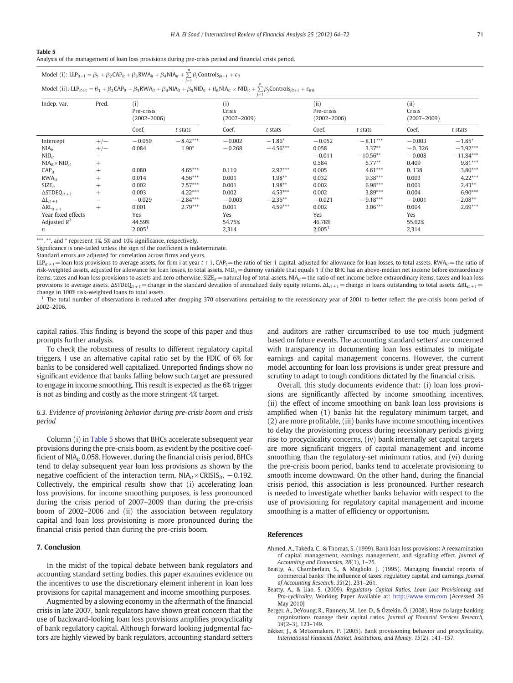#### <span id="page-7-0"></span>Table 5

Analysis of the management of loan loss provisions during pre-crisis period and financial crisis period.

| Model (i): $LLP_{it+1} = \beta_1 + \beta_2 CAP_{it} + \beta_3 RWA_{it} + \beta_4 NIA_{it} + \sum_{i=1} \beta_j Controls_{jit+1} + \varepsilon_{it}$                                                    |  |
|--------------------------------------------------------------------------------------------------------------------------------------------------------------------------------------------------------|--|
| Model (ii): $LLP_{it+1} = \beta_1 + \beta_2 CAP_{it} + \beta_3 RWA_{it} + \beta_4 NIA_{it} + \beta_5 NID_{it} + \beta_6 NIA_{it} \times NID_{it} + \sum \beta_j Controls_{jit+1} + \varepsilon_{itit}$ |  |

| Pred.<br>Indep. var.               |                          | (i)<br>Pre-crisis<br>$(2002 - 2006)$ |            | $J-1$<br>(i)<br>Crisis<br>$(2007 - 2009)$ |            | (ii)<br>Pre-crisis<br>$(2002 - 2006)$ |            | (ii)<br>Crisis<br>$(2007 - 2009)$ |             |
|------------------------------------|--------------------------|--------------------------------------|------------|-------------------------------------------|------------|---------------------------------------|------------|-----------------------------------|-------------|
|                                    |                          | Coef.                                | t stats    | Coef.                                     | t stats    | Coef.                                 | t stats    | Coef.                             | t stats     |
| Intercept                          | $+/-$                    | $-0.059$                             | $-8.42***$ | $-0.002$                                  | $-1.86*$   | $-0.052$                              | $-8.11***$ | $-0.003$                          | $-1.85*$    |
| $NIA_{it}$                         | $+/-$                    | 0.084                                | $1.90*$    | $-0.268$                                  | $-4.56***$ | 0.058                                 | $3.37**$   | $-0.326$                          | $-3.92***$  |
| $NID_{it}$                         |                          |                                      |            |                                           |            | $-0.011$                              | $-10.56**$ | $-0.008$                          | $-11.84***$ |
| $NIA_{it} \times NID_{it}$         | $^{+}$                   |                                      |            |                                           |            | 0.584                                 | $5.77***$  | 0.409                             | $9.81***$   |
| CAP <sub>ir</sub>                  | $^{+}$                   | 0.080                                | $4.65***$  | 0.110                                     | $2.97***$  | 0.005                                 | $4.61***$  | 0.138                             | $3.80***$   |
| $RWA_{it}$                         | $^{+}$                   | 0.014                                | $4.56***$  | 0.001                                     | $1.98**$   | 0.032                                 | $9.38***$  | 0.003                             | $4.22***$   |
| $SIZE_{it}$                        | $^{+}$                   | 0.002                                | $7.57***$  | 0.001                                     | $1.98**$   | 0.002                                 | $6.98***$  | 0.001                             | $2.43***$   |
| $\triangle$ STDEQ <sub>it +1</sub> | $^{+}$                   | 0.003                                | $4.22***$  | 0.002                                     | $4.53***$  | 0.002                                 | $3.89***$  | 0.004                             | $6.90***$   |
| $\Delta L_{it+1}$                  | $\overline{\phantom{0}}$ | $-0.029$                             | $-2.84***$ | $-0.003$                                  | $-2.36**$  | $-0.021$                              | $-9.18***$ | $-0.001$                          | $-2.08**$   |
| $\Delta R$ <sub>it +1</sub>        | $^{+}$                   | 0.001                                | $2.79***$  | 0.001                                     | $4.59***$  | 0.002                                 | $3.06***$  | 0.004                             | $2.69***$   |
| Year fixed effects                 |                          | Yes                                  |            | Yes                                       |            | Yes                                   |            | Yes                               |             |
| Adjusted $R^2$                     |                          | 44.59%                               |            | 54.75%                                    |            | 46.78%                                |            | 55.62%                            |             |
| $\mathfrak n$                      |                          | 2,005 <sup>1</sup>                   |            | 2,314                                     |            | 2,005 <sup>1</sup>                    |            | 2,314                             |             |

\*\*\*, \*\*, and \* represent 1%, 5% and 10% significance, respectively.

Significance is one-tailed unless the sign of the coefficient is indeterminate.

Standard errors are adjusted for correlation across firms and years.

 $LIP_{it+1}$  = loan loss provisions to average assets, for firm i at year  $t+1$ , CAP<sub>t</sub> = the ratio of tier 1 capital, adjusted for allowance for loan losses, to total assets. RWA<sub>it</sub> = the ratio of risk-weighted assets, adjusted for allowance for loan losses, to total assets. NID $_{it}$  = dummy variable that equals 1 if the BHC has an above-median net income before extraordinary items, taxes and loan loss provisions to assets and zero otherwise. SIZE<sub>it</sub> = natural log of total assets. NIA<sub>it</sub> = the ratio of net income before extraordinary items, taxes and loan loss provisions to average assets. ΔSTDEQ<sub>it+1</sub> = change in the standard deviation of annualized daily equity returns. ΔL<sub>it+1</sub> = change in loans outstanding to total assets. ΔRL<sub>it+1</sub> = change in 100% risk-weighted loans to total assets.

The total number of observations is reduced after dropping 370 observations pertaining to the recessionary year of 2001 to better reflect the pre-crisis boom period of 2002–2006.

capital ratios. This finding is beyond the scope of this paper and thus prompts further analysis.

To check the robustness of results to different regulatory capital triggers, I use an alternative capital ratio set by the FDIC of 6% for banks to be considered well capitalized. Unreported findings show no significant evidence that banks falling below such target are pressured to engage in income smoothing. This result is expected as the 6% trigger is not as binding and costly as the more stringent 4% target.

#### 6.3. Evidence of provisioning behavior during pre-crisis boom and crisis period

Column (i) in Table 5 shows that BHCs accelerate subsequent year provisions during the pre-crisis boom, as evident by the positive coefficient of  $NIA_{it}$  0.058. However, during the financial crisis period, BHCs tend to delay subsequent year loan loss provisions as shown by the negative coefficient of the interaction term,  $NIA_{it} \times CRISIS_{it}$ , -0.192. Collectively, the empirical results show that (i) accelerating loan loss provisions, for income smoothing purposes, is less pronounced during the crisis period of 2007–2009 than during the pre-crisis boom of 2002–2006 and (ii) the association between regulatory capital and loan loss provisioning is more pronounced during the financial crisis period than during the pre-crisis boom.

#### 7. Conclusion

In the midst of the topical debate between bank regulators and accounting standard setting bodies, this paper examines evidence on the incentives to use the discretionary element inherent in loan loss provisions for capital management and income smoothing purposes.

Augmented by a slowing economy in the aftermath of the financial crisis in late 2007, bank regulators have shown great concern that the use of backward-looking loan loss provisions amplifies procyclicality of bank regulatory capital. Although forward looking judgmental factors are highly viewed by bank regulators, accounting standard setters and auditors are rather circumscribed to use too much judgment based on future events. The accounting standard setters' are concerned with transparency in documenting loan loss estimates to mitigate earnings and capital management concerns. However, the current model accounting for loan loss provisions is under great pressure and scrutiny to adapt to tough conditions dictated by the financial crisis.

Overall, this study documents evidence that: (i) loan loss provisions are significantly affected by income smoothing incentives, (ii) the effect of income smoothing on bank loan loss provisions is amplified when (1) banks hit the regulatory minimum target, and (2) are more profitable, (iii) banks have income smoothing incentives to delay the provisioning process during recessionary periods giving rise to procyclicality concerns, (iv) bank internally set capital targets are more significant triggers of capital management and income smoothing than the regulatory-set minimum ratios, and (vi) during the pre-crisis boom period, banks tend to accelerate provisioning to smooth income downward. On the other hand, during the financial crisis period, this association is less pronounced. Further research is needed to investigate whether banks behavior with respect to the use of provisioning for regulatory capital management and income smoothing is a matter of efficiency or opportunism.

#### References

- Ahmed, A., Takeda, C., & Thomas, S. (1999). Bank loan loss provisions: A reexamination of capital management, earnings management, and signalling effect. Journal of Accounting and Economics, 28(1), 1–25.
- Beatty, A., Chamberlain, S., & Magliolo, J. (1995). Managing financial reports of commercial banks: The influence of taxes, regulatory capital, and earnings. Journal of Accounting Research, 33(2), 231–261.
- Beatty, A., & Liao, S. (2009). Regulatory Capital Ratios, Loan Loss Provisioning and Pro-cyclicality. Working Paper Available at: <http://www.ssrn.com> [Accessed 26 May 2010]
- Berger, A., DeYoung, R., Flannery, M., Lee, D., & Öztekin, Ö. (2008). How do large banking organizations manage their capital ratios. Journal of Financial Services Research, 34(2–3), 123–149.
- Bikker, J., & Metzemakers, P. (2005). Bank provisioning behavior and procyclicality. International Financial Market, Institutions, and Money, 15(2), 141–157.